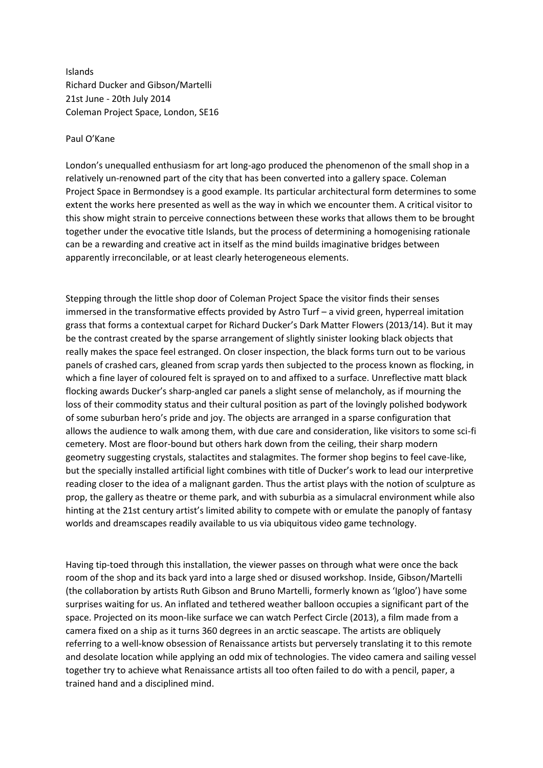Islands Richard Ducker and Gibson/Martelli 21st June - 20th July 2014 Coleman Project Space, London, SE16

## Paul O'Kane

London's unequalled enthusiasm for art long-ago produced the phenomenon of the small shop in a relatively un-renowned part of the city that has been converted into a gallery space. Coleman Project Space in Bermondsey is a good example. Its particular architectural form determines to some extent the works here presented as well as the way in which we encounter them. A critical visitor to this show might strain to perceive connections between these works that allows them to be brought together under the evocative title Islands, but the process of determining a homogenising rationale can be a rewarding and creative act in itself as the mind builds imaginative bridges between apparently irreconcilable, or at least clearly heterogeneous elements.

Stepping through the little shop door of Coleman Project Space the visitor finds their senses immersed in the transformative effects provided by Astro Turf – a vivid green, hyperreal imitation grass that forms a contextual carpet for Richard Ducker's Dark Matter Flowers (2013/14). But it may be the contrast created by the sparse arrangement of slightly sinister looking black objects that really makes the space feel estranged. On closer inspection, the black forms turn out to be various panels of crashed cars, gleaned from scrap yards then subjected to the process known as flocking, in which a fine layer of coloured felt is sprayed on to and affixed to a surface. Unreflective matt black flocking awards Ducker's sharp-angled car panels a slight sense of melancholy, as if mourning the loss of their commodity status and their cultural position as part of the lovingly polished bodywork of some suburban hero's pride and joy. The objects are arranged in a sparse configuration that allows the audience to walk among them, with due care and consideration, like visitors to some sci-fi cemetery. Most are floor-bound but others hark down from the ceiling, their sharp modern geometry suggesting crystals, stalactites and stalagmites. The former shop begins to feel cave-like, but the specially installed artificial light combines with title of Ducker's work to lead our interpretive reading closer to the idea of a malignant garden. Thus the artist plays with the notion of sculpture as prop, the gallery as theatre or theme park, and with suburbia as a simulacral environment while also hinting at the 21st century artist's limited ability to compete with or emulate the panoply of fantasy worlds and dreamscapes readily available to us via ubiquitous video game technology.

Having tip-toed through this installation, the viewer passes on through what were once the back room of the shop and its back yard into a large shed or disused workshop. Inside, Gibson/Martelli (the collaboration by artists Ruth Gibson and Bruno Martelli, formerly known as 'Igloo') have some surprises waiting for us. An inflated and tethered weather balloon occupies a significant part of the space. Projected on its moon-like surface we can watch Perfect Circle (2013), a film made from a camera fixed on a ship as it turns 360 degrees in an arctic seascape. The artists are obliquely referring to a well-know obsession of Renaissance artists but perversely translating it to this remote and desolate location while applying an odd mix of technologies. The video camera and sailing vessel together try to achieve what Renaissance artists all too often failed to do with a pencil, paper, a trained hand and a disciplined mind.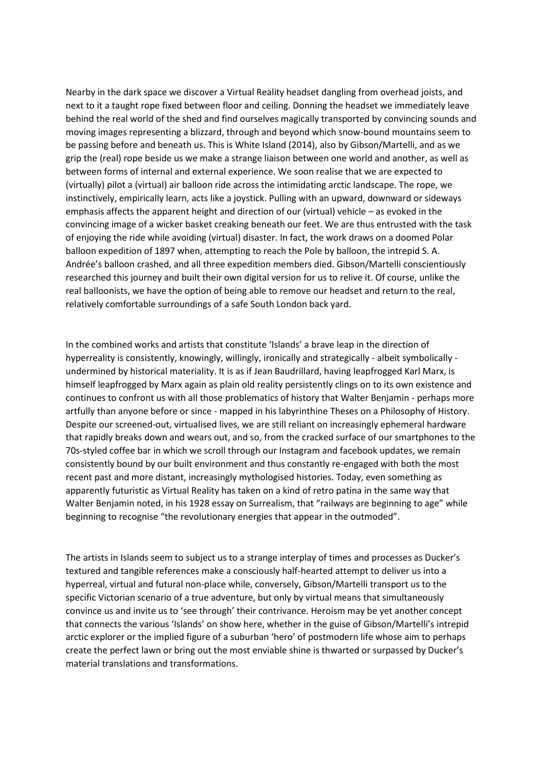Nearby in the dark space we discover a Virtual Reality headset dangling from overhead joists, and next to it a taught rope fixed between floor and ceiling. Donning the headset we immediately leave behind the real world of the shed and find ourselves magically transported by convincing sounds and moving images representing a blizzard, through and beyond which snow-bound mountains seem to be passing before and beneath us. This is White Island (2014), also by Gibson/Martelli, and as we grip the (real) rope beside us we make a strange liaison between one world and another, as well as between forms of internal and external experience. We soon realise that we are expected to (virtually) pilot a (virtual) air balloon ride across the intimidating arctic landscape. The rope, we instinctively, empirically learn, acts like a joystick. Pulling with an upward, downward or sideways emphasis affects the apparent height and direction of our (virtual) vehicle – as evoked in the convincing image of a wicker basket creaking beneath our feet. We are thus entrusted with the task of enjoying the ride while avoiding (virtual) disaster. In fact, the work draws on a doomed Polar balloon expedition of 1897 when, attempting to reach the Pole by balloon, the intrepid S. A. Andrée's balloon crashed, and all three expedition members died. Gibson/Martelli conscientiously researched this journey and built their own digital version for us to relive it. Of course, unlike the real balloonists, we have the option of being able to remove our headset and return to the real, relatively comfortable surroundings of a safe South London back yard.

In the combined works and artists that constitute 'Islands' a brave leap in the direction of hyperreality is consistently, knowingly, willingly, ironically and strategically - albeit symbolically undermined by historical materiality. It is as if Jean Baudrillard, having leapfrogged Karl Marx, is himself leapfrogged by Marx again as plain old reality persistently clings on to its own existence and continues to confront us with all those problematics of history that Walter Benjamin - perhaps more artfully than anyone before or since - mapped in his labyrinthine Theses on a Philosophy of History. Despite our screened-out, virtualised lives, we are still reliant on increasingly ephemeral hardware that rapidly breaks down and wears out, and so, from the cracked surface of our smartphones to the 70s-styled coffee bar in which we scroll through our Instagram and facebook updates, we remain consistently bound by our built environment and thus constantly re-engaged with both the most recent past and more distant, increasingly mythologised histories. Today, even something as apparently futuristic as Virtual Reality has taken on a kind of retro patina in the same way that Walter Benjamin noted, in his 1928 essay on Surrealism, that "railways are beginning to age" while beginning to recognise "the revolutionary energies that appear in the outmoded".

The artists in Islands seem to subject us to a strange interplay of times and processes as Ducker's textured and tangible references make a consciously half-hearted attempt to deliver us into a hyperreal, virtual and futural non-place while, conversely, Gibson/Martelli transport us to the specific Victorian scenario of a true adventure, but only by virtual means that simultaneously convince us and invite us to 'see through' their contrivance. Heroism may be yet another concept that connects the various 'Islands' on show here, whether in the guise of Gibson/Martelli's intrepid arctic explorer or the implied figure of a suburban 'hero' of postmodern life whose aim to perhaps create the perfect lawn or bring out the most enviable shine is thwarted or surpassed by Ducker's material translations and transformations.